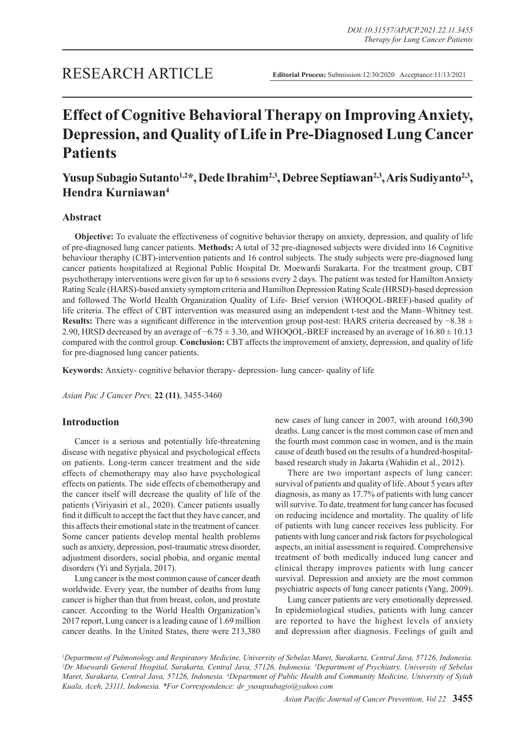# **Effect of Cognitive Behavioral Therapy on Improving Anxiety, Depression, and Quality of Life in Pre-Diagnosed Lung Cancer Patients**

## Yusup Subagio Sutanto<sup>1,2\*</sup>, Dede Ibrahim<sup>2,3</sup>, Debree Septiawan<sup>2,3</sup>, Aris Sudiyanto<sup>2,3</sup>, **Hendra Kurniawan4**

## **Abstract**

**Objective:** To evaluate the effectiveness of cognitive behavior therapy on anxiety, depression, and quality of life of pre-diagnosed lung cancer patients. **Methods:** A total of 32 pre-diagnosed subjects were divided into 16 Cognitive behaviour theraphy (CBT)-intervention patients and 16 control subjects. The study subjects were pre-diagnosed lung cancer patients hospitalized at Regional Public Hospital Dr. Moewardi Surakarta. For the treatment group, CBT psychotherapy interventions were given for up to 6 sessions every 2 days. The patient was tested for Hamilton Anxiety Rating Scale (HARS)-based anxiety symptom criteria and Hamilton Depression Rating Scale (HRSD)-based depression and followed The World Health Organization Quality of Life- Brief version (WHOQOL-BREF)-based quality of life criteria. The effect of CBT intervention was measured using an independent t-test and the Mann–Whitney test. Results: There was a significant difference in the intervention group post-test: HARS criteria decreased by −8.38 ± 2.90, HRSD decreased by an average of −6.75 ± 3.30, and WHOQOL-BREF increased by an average of 16.80 ± 10.13 compared with the control group. **Conclusion:** CBT affects the improvement of anxiety, depression, and quality of life for pre-diagnosed lung cancer patients.

**Keywords:** Anxiety- cognitive behavior therapy- depression- lung cancer- quality of life

*Asian Pac J Cancer Prev,* **22 (11)**, 3455-3460

## **Introduction**

Cancer is a serious and potentially life-threatening disease with negative physical and psychological effects on patients. Long-term cancer treatment and the side effects of chemotherapy may also have psychological effects on patients. The side effects of chemotherapy and the cancer itself will decrease the quality of life of the patients (Viriyasiri et al., 2020). Cancer patients usually find it difficult to accept the fact that they have cancer, and this affects their emotional state in the treatment of cancer. Some cancer patients develop mental health problems such as anxiety, depression, post-traumatic stress disorder, adjustment disorders, social phobia, and organic mental disorders (Yi and Syrjala, 2017).

Lung cancer is the most common cause of cancer death worldwide. Every year, the number of deaths from lung cancer is higher than that from breast, colon, and prostate cancer. According to the World Health Organization's 2017 report, Lung cancer is a leading cause of 1.69 million cancer deaths. In the United States, there were 213,380

new cases of lung cancer in 2007, with around 160,390 deaths. Lung cancer is the most common case of men and the fourth most common case in women, and is the main cause of death based on the results of a hundred-hospitalbased research study in Jakarta (Wahidin et al., 2012).

There are two important aspects of lung cancer: survival of patients and quality of life. About 5 years after diagnosis, as many as 17.7% of patients with lung cancer will survive. To date, treatment for lung cancer has focused on reducing incidence and mortality. The quality of life of patients with lung cancer receives less publicity. For patients with lung cancer and risk factors for psychological aspects, an initial assessment is required. Comprehensive treatment of both medically induced lung cancer and clinical therapy improves patients with lung cancer survival. Depression and anxiety are the most common psychiatric aspects of lung cancer patients (Yang, 2009).

Lung cancer patients are very emotionally depressed. In epidemiological studies, patients with lung cancer are reported to have the highest levels of anxiety and depression after diagnosis. Feelings of guilt and

*1 Department of Pulmonology and Respiratory Medicine, University of Sebelas Maret, Surakarta, Central Java, 57126, Indonesia. 2 Dr Moewardi General Hospital, Surakarta, Central Java, 57126, Indonesia. 3 Department of Psychiatry, University of Sebelas*  Maret, Surakarta, Central Java, 57126, Indonesia. <sup>4</sup>Department of Public Health and Community Medicine, University of Syiah *Kuala, Aceh, 23111, Indonesia. \*For Correspondence: dr\_yusupsubagio@yahoo.com*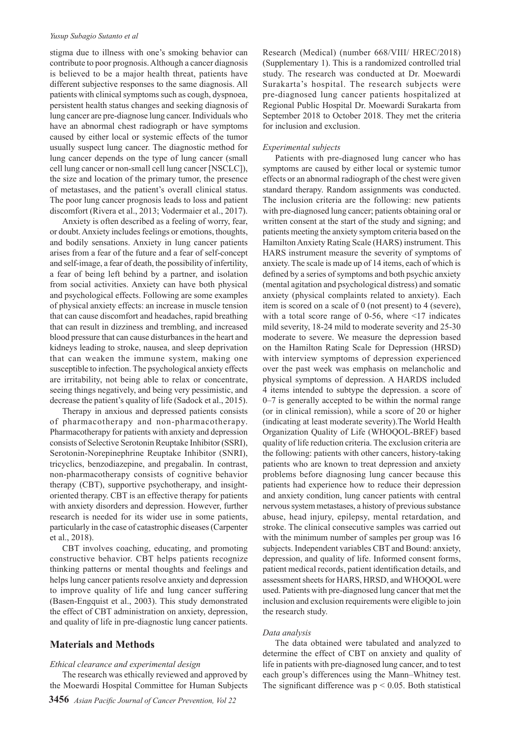#### *Yusup Subagio Sutanto et al*

stigma due to illness with one's smoking behavior can contribute to poor prognosis. Although a cancer diagnosis is believed to be a major health threat, patients have different subjective responses to the same diagnosis. All patients with clinical symptoms such as cough, dyspnoea, persistent health status changes and seeking diagnosis of lung cancer are pre-diagnose lung cancer. Individuals who have an abnormal chest radiograph or have symptoms caused by either local or systemic effects of the tumor usually suspect lung cancer. The diagnostic method for lung cancer depends on the type of lung cancer (small cell lung cancer or non-small cell lung cancer [NSCLC]), the size and location of the primary tumor, the presence of metastases, and the patient's overall clinical status. The poor lung cancer prognosis leads to loss and patient discomfort (Rivera et al., 2013; Vodermaier et al., 2017).

Anxiety is often described as a feeling of worry, fear, or doubt. Anxiety includes feelings or emotions, thoughts, and bodily sensations. Anxiety in lung cancer patients arises from a fear of the future and a fear of self-concept and self-image, a fear of death, the possibility of infertility, a fear of being left behind by a partner, and isolation from social activities. Anxiety can have both physical and psychological effects. Following are some examples of physical anxiety effects: an increase in muscle tension that can cause discomfort and headaches, rapid breathing that can result in dizziness and trembling, and increased blood pressure that can cause disturbances in the heart and kidneys leading to stroke, nausea, and sleep deprivation that can weaken the immune system, making one susceptible to infection. The psychological anxiety effects are irritability, not being able to relax or concentrate, seeing things negatively, and being very pessimistic, and decrease the patient's quality of life (Sadock et al., 2015).

Therapy in anxious and depressed patients consists of pharmacotherapy and non-pharmacotherapy. Pharmacotherapy for patients with anxiety and depression consists of Selective Serotonin Reuptake Inhibitor (SSRI), Serotonin-Norepinephrine Reuptake Inhibitor (SNRI), tricyclics, benzodiazepine, and pregabalin. In contrast, non-pharmacotherapy consists of cognitive behavior therapy (CBT), supportive psychotherapy, and insightoriented therapy. CBT is an effective therapy for patients with anxiety disorders and depression. However, further research is needed for its wider use in some patients, particularly in the case of catastrophic diseases (Carpenter et al., 2018).

CBT involves coaching, educating, and promoting constructive behavior. CBT helps patients recognize thinking patterns or mental thoughts and feelings and helps lung cancer patients resolve anxiety and depression to improve quality of life and lung cancer suffering (Basen-Engquist et al., 2003). This study demonstrated the effect of CBT administration on anxiety, depression, and quality of life in pre-diagnostic lung cancer patients.

#### **Materials and Methods**

#### *Ethical clearance and experimental design*

The research was ethically reviewed and approved by the Moewardi Hospital Committee for Human Subjects

Research (Medical) (number 668/VIII/ HREC/2018) (Supplementary 1). This is a randomized controlled trial study. The research was conducted at Dr. Moewardi Surakarta's hospital. The research subjects were pre-diagnosed lung cancer patients hospitalized at Regional Public Hospital Dr. Moewardi Surakarta from September 2018 to October 2018. They met the criteria for inclusion and exclusion.

#### *Experimental subjects*

Patients with pre-diagnosed lung cancer who has symptoms are caused by either local or systemic tumor effects or an abnormal radiograph of the chest were given standard therapy. Random assignments was conducted. The inclusion criteria are the following: new patients with pre-diagnosed lung cancer; patients obtaining oral or written consent at the start of the study and signing; and patients meeting the anxiety symptom criteria based on the Hamilton Anxiety Rating Scale (HARS) instrument. This HARS instrument measure the severity of symptoms of anxiety. The scale is made up of 14 items, each of which is defined by a series of symptoms and both psychic anxiety (mental agitation and psychological distress) and somatic anxiety (physical complaints related to anxiety). Each item is scored on a scale of 0 (not present) to 4 (severe), with a total score range of 0-56, where  $\leq$ 17 indicates mild severity, 18-24 mild to moderate severity and 25-30 moderate to severe. We measure the depression based on the Hamilton Rating Scale for Depression (HRSD) with interview symptoms of depression experienced over the past week was emphasis on melancholic and physical symptoms of depression. A HARDS included 4 items intended to subtype the depression. a score of 0–7 is generally accepted to be within the normal range (or in clinical remission), while a score of 20 or higher (indicating at least moderate severity).The World Health Organization Quality of Life (WHOQOL-BREF) based quality of life reduction criteria. The exclusion criteria are the following: patients with other cancers, history-taking patients who are known to treat depression and anxiety problems before diagnosing lung cancer because this patients had experience how to reduce their depression and anxiety condition, lung cancer patients with central nervous system metastases, a history of previous substance abuse, head injury, epilepsy, mental retardation, and stroke. The clinical consecutive samples was carried out with the minimum number of samples per group was 16 subjects. Independent variables CBT and Bound: anxiety, depression, and quality of life. Informed consent forms, patient medical records, patient identification details, and assessment sheets for HARS, HRSD, and WHOQOL were used. Patients with pre-diagnosed lung cancer that met the inclusion and exclusion requirements were eligible to join the research study.

#### *Data analysis*

The data obtained were tabulated and analyzed to determine the effect of CBT on anxiety and quality of life in patients with pre-diagnosed lung cancer, and to test each group's differences using the Mann–Whitney test. The significant difference was  $p < 0.05$ . Both statistical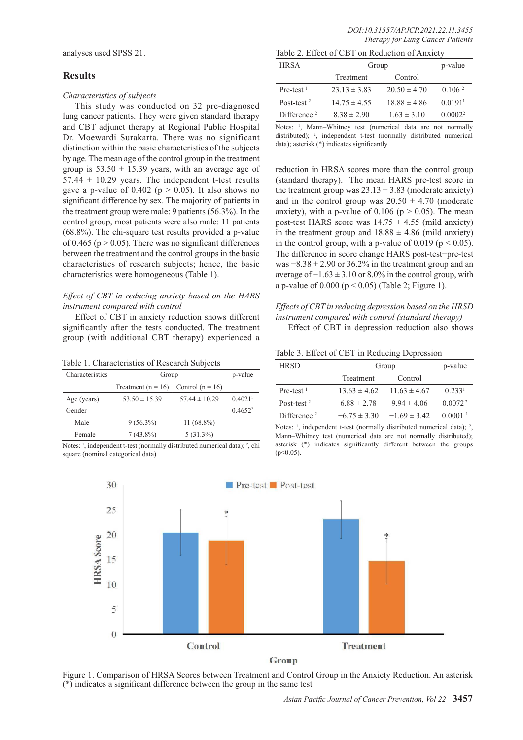analyses used SPSS 21.

#### **Results**

#### *Characteristics of subjects*

This study was conducted on 32 pre-diagnosed lung cancer patients. They were given standard therapy and CBT adjunct therapy at Regional Public Hospital Dr. Moewardi Surakarta. There was no significant distinction within the basic characteristics of the subjects by age. The mean age of the control group in the treatment group is  $53.50 \pm 15.39$  years, with an average age of  $57.44 \pm 10.29$  years. The independent t-test results gave a p-value of  $0.402$  (p  $> 0.05$ ). It also shows no significant difference by sex. The majority of patients in the treatment group were male: 9 patients (56.3%). In the control group, most patients were also male: 11 patients (68.8%). The chi-square test results provided a p-value of 0.465 ( $p > 0.05$ ). There was no significant differences between the treatment and the control groups in the basic characteristics of research subjects; hence, the basic characteristics were homogeneous (Table 1).

#### *Effect of CBT in reducing anxiety based on the HARS instrument compared with control*

Effect of CBT in anxiety reduction shows different significantly after the tests conducted. The treatment group (with additional CBT therapy) experienced a

| Table 1. Characteristics of Research Subjects |  |
|-----------------------------------------------|--|
|                                               |  |

| Characteristics | Group                                   |                   | p-value               |
|-----------------|-----------------------------------------|-------------------|-----------------------|
|                 | Treatment $(n = 16)$ Control $(n = 16)$ |                   |                       |
| Age (years)     | $53.50 \pm 15.39$                       | $57.44 \pm 10.29$ | $0.4021$ <sup>1</sup> |
| Gender          |                                         |                   | $0.4652^2$            |
| Male            | $9(56.3\%)$                             | $11(68.8\%)$      |                       |
| Female          | $7(43.8\%)$                             | $5(31.3\%)$       |                       |

Notes: <sup>1</sup>, independent t-test (normally distributed numerical data); <sup>2</sup>, chi square (nominal categorical data)

| Table 2. Effect of CBT on Reduction of Anxiety |  |
|------------------------------------------------|--|
|------------------------------------------------|--|

| <b>HRSA</b>    | Group            |                  | p-value               |
|----------------|------------------|------------------|-----------------------|
|                | Treatment        | Control          |                       |
| $Pre-test1$    | $23.13 \pm 3.83$ | $20.50 \pm 4.70$ | 0.106 <sup>2</sup>    |
| Post-test $2$  | $14.75 \pm 4.55$ | $18.88 \pm 4.86$ | $0.0191$ <sup>1</sup> |
| Difference $2$ | $8.38 \pm 2.90$  | $1.63 \pm 3.10$  | 0.0002 <sup>2</sup>   |

Notes: <sup>1</sup>, Mann–Whitney test (numerical data are not normally distributed); <sup>2</sup>, independent t-test (normally distributed numerical data); asterisk (\*) indicates significantly

reduction in HRSA scores more than the control group (standard therapy). The mean HARS pre-test score in the treatment group was  $23.13 \pm 3.83$  (moderate anxiety) and in the control group was  $20.50 \pm 4.70$  (moderate anxiety), with a p-value of  $0.106$  (p  $> 0.05$ ). The mean post-test HARS score was  $14.75 \pm 4.55$  (mild anxiety) in the treatment group and  $18.88 \pm 4.86$  (mild anxiety) in the control group, with a p-value of 0.019 ( $p < 0.05$ ). The difference in score change HARS post-test−pre-test was  $-8.38 \pm 2.90$  or 36.2% in the treatment group and an average of  $-1.63 \pm 3.10$  or 8.0% in the control group, with a p-value of  $0.000$  ( $p < 0.05$ ) (Table 2; Figure 1).

## *Effects of CBT in reducing depression based on the HRSD instrument compared with control (standard therapy)*

Effect of CBT in depression reduction also shows

Table 3. Effect of CBT in Reducing Depression

| <b>HRSD</b>    |                  | Group            |                     |
|----------------|------------------|------------------|---------------------|
|                | Treatment        | Control          |                     |
| $Pre-test1$    | $13.63 \pm 4.62$ | $11.63 \pm 4.67$ | 0.233 <sup>1</sup>  |
| Post-test $2$  | $6.88 \pm 2.78$  | $9.94 \pm 4.06$  | 0.0072 <sup>2</sup> |
| Difference $2$ | $-6.75 \pm 3.30$ | $-1.69 \pm 3.42$ | $0.0001-1$          |

Notes: <sup>1</sup>, independent t-test (normally distributed numerical data); <sup>2</sup>, Mann–Whitney test (numerical data are not normally distributed); asterisk (\*) indicates significantly different between the groups  $(n<0.05)$ 



Figure 1. Comparison of HRSA Scores between Treatment and Control Group in the Anxiety Reduction. An asterisk  $(*)$  indicates a significant difference between the group in the same test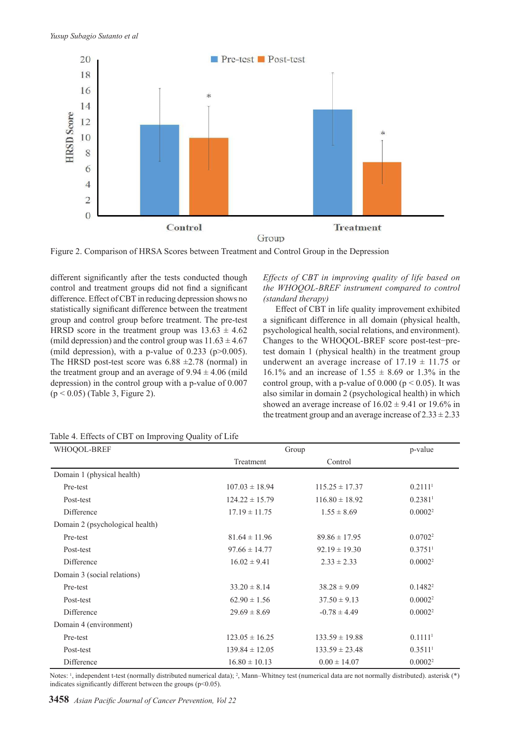

Figure 2. Comparison of HRSA Scores between Treatment and Control Group in the Depression

different significantly after the tests conducted though control and treatment groups did not find a significant difference. Effect of CBT in reducing depression shows no statistically significant difference between the treatment group and control group before treatment. The pre-test HRSD score in the treatment group was  $13.63 \pm 4.62$ (mild depression) and the control group was  $11.63 \pm 4.67$ (mild depression), with a p-value of  $0.233$  (p $>0.005$ ). The HRSD post-test score was  $6.88 \pm 2.78$  (normal) in the treatment group and an average of  $9.94 \pm 4.06$  (mild depression) in the control group with a p-value of 0.007 (p < 0.05) (Table 3, Figure 2).

*Effects of CBT in improving quality of life based on the WHOQOL-BREF instrument compared to control (standard therapy)*

Effect of CBT in life quality improvement exhibited a significant difference in all domain (physical health, psychological health, social relations, and environment). Changes to the WHOQOL-BREF score post-test−pretest domain 1 (physical health) in the treatment group underwent an average increase of  $17.19 \pm 11.75$  or 16.1% and an increase of  $1.55 \pm 8.69$  or 1.3% in the control group, with a p-value of  $0.000$  (p < 0.05). It was also similar in domain 2 (psychological health) in which showed an average increase of  $16.02 \pm 9.41$  or  $19.6\%$  in the treatment group and an average increase of  $2.33 \pm 2.33$ 

| WHOQOL-BREF                     | Group              |                    | p-value               |
|---------------------------------|--------------------|--------------------|-----------------------|
|                                 | Treatment          | Control            |                       |
| Domain 1 (physical health)      |                    |                    |                       |
| Pre-test                        | $107.03 \pm 18.94$ | $115.25 \pm 17.37$ | 0.21111               |
| Post-test                       | $124.22 \pm 15.79$ | $116.80 \pm 18.92$ | 0.2381 <sup>1</sup>   |
| Difference                      | $17.19 \pm 11.75$  | $1.55 \pm 8.69$    | 0.0002 <sup>2</sup>   |
| Domain 2 (psychological health) |                    |                    |                       |
| Pre-test                        | $81.64 \pm 11.96$  | $89.86 \pm 17.95$  | 0.0702 <sup>2</sup>   |
| Post-test                       | $97.66 \pm 14.77$  | $92.19 \pm 19.30$  | $0.3751$ <sup>1</sup> |
| Difference                      | $16.02 \pm 9.41$   | $2.33 \pm 2.33$    | 0.0002 <sup>2</sup>   |
| Domain 3 (social relations)     |                    |                    |                       |
| Pre-test                        | $33.20 \pm 8.14$   | $38.28 \pm 9.09$   | $0.1482^2$            |
| Post-test                       | $62.90 \pm 1.56$   | $37.50 \pm 9.13$   | 0.0002 <sup>2</sup>   |
| Difference                      | $29.69 \pm 8.69$   | $-0.78 \pm 4.49$   | 0.0002 <sup>2</sup>   |
| Domain 4 (environment)          |                    |                    |                       |
| Pre-test                        | $123.05 \pm 16.25$ | $133.59 \pm 19.88$ | 0.11111               |
| Post-test                       | $139.84 \pm 12.05$ | $133.59 \pm 23.48$ | $0.3511$ <sup>1</sup> |
| Difference                      | $16.80 \pm 10.13$  | $0.00 \pm 14.07$   | 0.0002 <sup>2</sup>   |

Table 4. Effects of CBT on Improving Quality of Life

Notes: <sup>1</sup> , independent t-test (normally distributed numerical data); 2 , Mann–Whitney test (numerical data are not normally distributed). asterisk (\*) indicates significantly different between the groups  $(p<0.05)$ .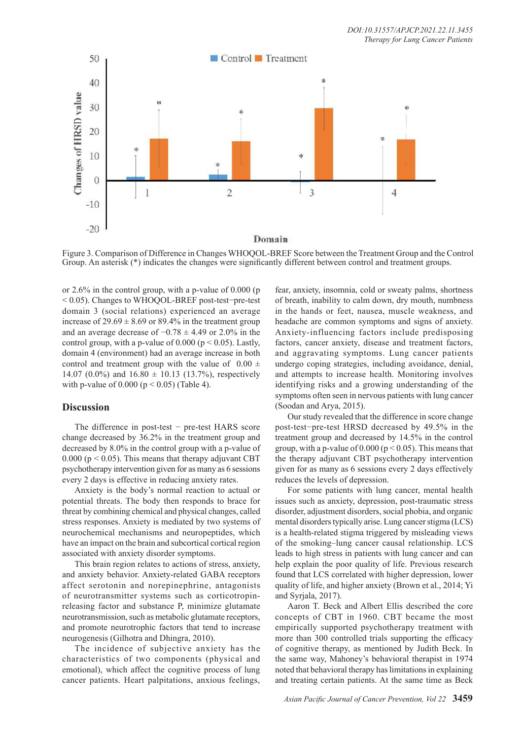

Figure 3. Comparison of Difference in Changes WHOQOL-BREF Score between the Treatment Group and the Control Group. An asterisk (\*) indicates the changes were significantly different between control and treatment groups.

or 2.6% in the control group, with a p-value of 0.000 (p < 0.05). Changes to WHOQOL-BREF post-test−pre-test domain 3 (social relations) experienced an average increase of  $29.69 \pm 8.69$  or 89.4% in the treatment group and an average decrease of  $-0.78 \pm 4.49$  or 2.0% in the control group, with a p-value of  $0.000$  ( $p \le 0.05$ ). Lastly, domain 4 (environment) had an average increase in both control and treatment group with the value of  $0.00 \pm$ 14.07 (0.0%) and  $16.80 \pm 10.13$  (13.7%), respectively with p-value of  $0.000$  ( $p < 0.05$ ) (Table 4).

## **Discussion**

The difference in post-test − pre-test HARS score change decreased by 36.2% in the treatment group and decreased by 8.0% in the control group with a p-value of 0.000 ( $p < 0.05$ ). This means that therapy adjuvant CBT psychotherapy intervention given for as many as 6 sessions every 2 days is effective in reducing anxiety rates.

Anxiety is the body's normal reaction to actual or potential threats. The body then responds to brace for threat by combining chemical and physical changes, called stress responses. Anxiety is mediated by two systems of neurochemical mechanisms and neuropeptides, which have an impact on the brain and subcortical cortical region associated with anxiety disorder symptoms.

This brain region relates to actions of stress, anxiety, and anxiety behavior. Anxiety-related GABA receptors affect serotonin and norepinephrine, antagonists of neurotransmitter systems such as corticotropinreleasing factor and substance P, minimize glutamate neurotransmission, such as metabolic glutamate receptors, and promote neurotrophic factors that tend to increase neurogenesis (Gilhotra and Dhingra, 2010).

The incidence of subjective anxiety has the characteristics of two components (physical and emotional), which affect the cognitive process of lung cancer patients. Heart palpitations, anxious feelings,

fear, anxiety, insomnia, cold or sweaty palms, shortness of breath, inability to calm down, dry mouth, numbness in the hands or feet, nausea, muscle weakness, and headache are common symptoms and signs of anxiety. Anxiety-influencing factors include predisposing factors, cancer anxiety, disease and treatment factors, and aggravating symptoms. Lung cancer patients undergo coping strategies, including avoidance, denial, and attempts to increase health. Monitoring involves identifying risks and a growing understanding of the symptoms often seen in nervous patients with lung cancer (Soodan and Arya, 2015).

Our study revealed that the difference in score change post-test−pre-test HRSD decreased by 49.5% in the treatment group and decreased by 14.5% in the control group, with a p-value of  $0.000$  ( $p < 0.05$ ). This means that the therapy adjuvant CBT psychotherapy intervention given for as many as 6 sessions every 2 days effectively reduces the levels of depression.

For some patients with lung cancer, mental health issues such as anxiety, depression, post-traumatic stress disorder, adjustment disorders, social phobia, and organic mental disorders typically arise. Lung cancer stigma (LCS) is a health-related stigma triggered by misleading views of the smoking–lung cancer causal relationship. LCS leads to high stress in patients with lung cancer and can help explain the poor quality of life. Previous research found that LCS correlated with higher depression, lower quality of life, and higher anxiety (Brown et al., 2014; Yi and Syrjala, 2017).

Aaron T. Beck and Albert Ellis described the core concepts of CBT in 1960. CBT became the most empirically supported psychotherapy treatment with more than 300 controlled trials supporting the efficacy of cognitive therapy, as mentioned by Judith Beck. In the same way, Mahoney's behavioral therapist in 1974 noted that behavioral therapy has limitations in explaining and treating certain patients. At the same time as Beck